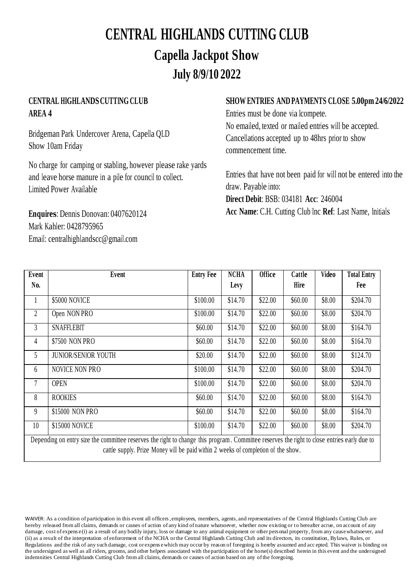# **CENTRAL HIGHLANDS CUTTING CLUB Capella Jackpot Show July 8/9/10 2022**

### **CENTRAL HIGHLANDSCUTTING CLUB AREA 4**

Bridgeman Park Undercover Arena, Capella QLD Show 10am Friday

No charge for camping or stabling, however please rake yards and leave horse manure in a pile for council to collect. Limited Power Available

**Enquires**: Dennis Donovan: 0407620124 Mark Kahler: 0428795965 Email: [centralhighlandscc@gmail.com](mailto:centralhighlandscc@gmail.com)

#### **SHOW ENTRIES AND PAYMENTS CLOSE 5.00pm 24/6/2022**

Entries must be done via Icompete. No emailed, texted or mailed entries will be accepted. Cancellations accepted up to 48hrs prior to show commencement time.

Entries that have not been paid for will not be entered into the draw. Payable into: **Direct Debit**: BSB: 034181 **Acc**: 246004 **Acc Name**: C.H. Cutting Club Inc **Ref**: Last Name, Initials

| Event                                                                                                                                       | Event                      | <b>Entry Fee</b> | <b>NCHA</b> | <b>Office</b> | Cattle  | Video  | <b>Total Entry</b> |
|---------------------------------------------------------------------------------------------------------------------------------------------|----------------------------|------------------|-------------|---------------|---------|--------|--------------------|
| No.                                                                                                                                         |                            |                  | Levy        |               | Hire    |        | Fee                |
| 1                                                                                                                                           | \$5000 NOVICE              | \$100.00         | \$14.70     | \$22.00       | \$60.00 | \$8.00 | \$204.70           |
| $\overline{2}$                                                                                                                              | Open NON PRO               | \$100.00         | \$14.70     | \$22.00       | \$60.00 | \$8.00 | \$204.70           |
| 3                                                                                                                                           | <b>SNAFFLEBIT</b>          | \$60.00          | \$14.70     | \$22.00       | \$60.00 | \$8.00 | \$164.70           |
| 4                                                                                                                                           | \$7500 NON PRO             | \$60.00          | \$14.70     | \$22.00       | \$60.00 | \$8.00 | \$164.70           |
| 5                                                                                                                                           | <b>JUNIOR/SENIOR YOUTH</b> | \$20.00          | \$14.70     | \$22.00       | \$60.00 | \$8.00 | \$124.70           |
| 6                                                                                                                                           | <b>NOVICE NON PRO</b>      | \$100.00         | \$14.70     | \$22.00       | \$60.00 | \$8.00 | \$204.70           |
| $\overline{7}$                                                                                                                              | <b>OPEN</b>                | \$100.00         | \$14.70     | \$22.00       | \$60.00 | \$8.00 | \$204.70           |
| 8                                                                                                                                           | <b>ROOKIES</b>             | \$60.00          | \$14.70     | \$22.00       | \$60.00 | \$8.00 | \$164.70           |
| 9                                                                                                                                           | \$15000 NON PRO            | \$60.00          | \$14.70     | \$22.00       | \$60.00 | \$8.00 | \$164.70           |
| 10                                                                                                                                          | \$15000 NOVICE             | \$100.00         | \$14.70     | \$22.00       | \$60.00 | \$8.00 | \$204.70           |
| Depending on entry size the committee reserves the right to change this program. Committee reserves the right to close entries early due to |                            |                  |             |               |         |        |                    |

cattle supply. Prize Money will be paid within 2 weeks of completion of the show.

WAIVER: As a condition of participation in this event all officers, employees, members, agents, and representatives of the Central Highlands Cutting Club are hereby released from all claims, demands or causes of action of any kind of nature whatsoever, whether now existing or to hereafter acrue, on account of any damage, cost of expens e(i) as a result of any bodily injury, loss or damage to any animal equipment or other personal property, from any causewhatsoever, and (ii) as a result of the interpretation of enforcement of the NCHA orthe Central Highlands Cutting Club and its directors, its constitution, Bylaws, Rules, or Regulations and the risk of any such damage, cost or expense which may occur by reason of foregoing is hereby assumed and acc epted. This waiver is binding on the undersigned as well as all riders, grooms, and other helpers associated with theparticipation of the horse(s) described herein in this event and the undersigned indemnities Central Highlands Cutting Club from all claims, demands or causes of action based on any ofthe foregoing.